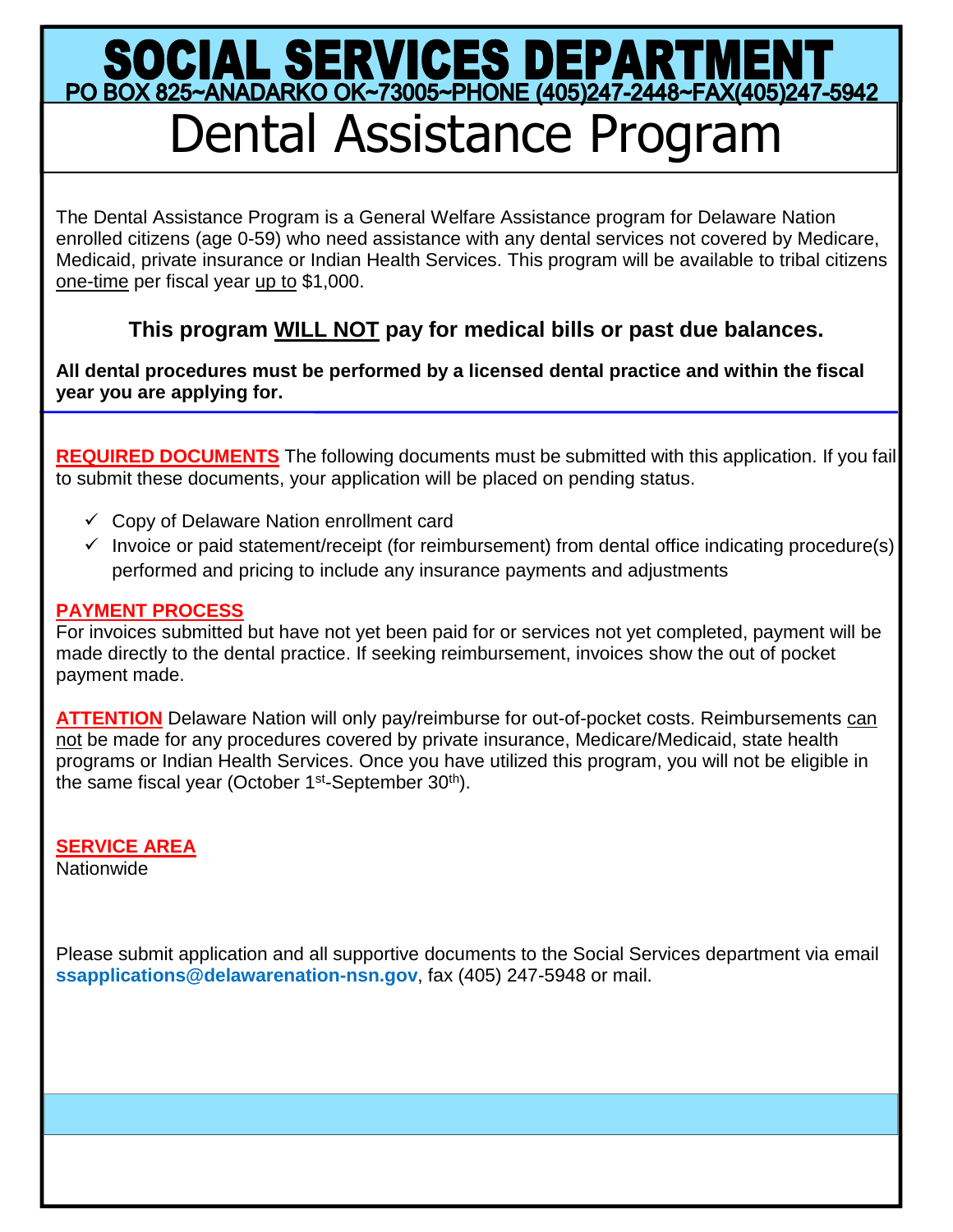# SOCIAL SERVICES DEPARTMENT<br>PO BOX 825~ANADARKO OK~73005~PHONE (405)247-2448~FAX(405)247-5942 Dental Assistance Program

The Dental Assistance Program is a General Welfare Assistance program for Delaware Nation enrolled citizens (age 0-59) who need assistance with any dental services not covered by Medicare, Medicaid, private insurance or Indian Health Services. This program will be available to tribal citizens one-time per fiscal year up to \$1,000.

## **This program WILL NOT pay for medical bills or past due balances.**

**All dental procedures must be performed by a licensed dental practice and within the fiscal year you are applying for.**

**REQUIRED DOCUMENTS** The following documents must be submitted with this application. If you fail to submit these documents, your application will be placed on pending status.

- $\checkmark$  Copy of Delaware Nation enrollment card
- $\checkmark$  Invoice or paid statement/receipt (for reimbursement) from dental office indicating procedure(s) performed and pricing to include any insurance payments and adjustments

#### **PAYMENT PROCESS**

For invoices submitted but have not yet been paid for or services not yet completed, payment will be made directly to the dental practice. If seeking reimbursement, invoices show the out of pocket payment made.

**ATTENTION** Delaware Nation will only pay/reimburse for out-of-pocket costs. Reimbursements can not be made for any procedures covered by private insurance, Medicare/Medicaid, state health programs or Indian Health Services. Once you have utilized this program, you will not be eligible in the same fiscal year (October 1<sup>st</sup>-September 30<sup>th</sup>).

## **SERVICE AREA**

**Nationwide** 

Please submit application and all supportive documents to the Social Services department via email **ssapplications@delawarenation-nsn.gov**, fax (405) 247-5948 or mail.